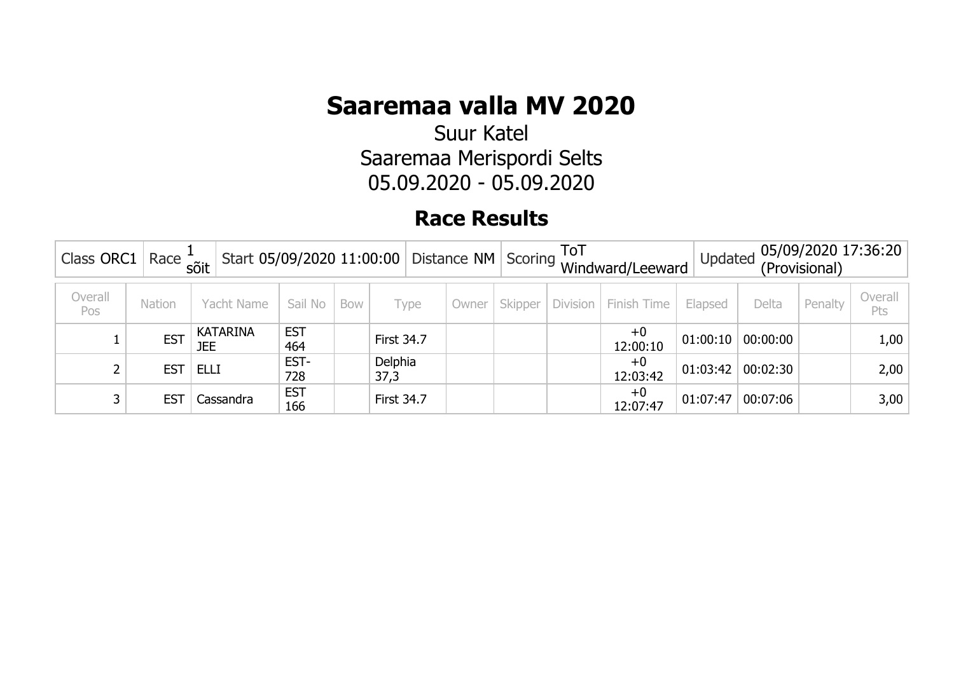Suur Katel Saaremaa Merispordi Selts 05.09.2020 - 05.09.2020

| $\frac{1}{2}$ Class ORC1   Race $\frac{1}{50}$ |                 |                        |                   | Start 05/09/2020 11:00:00 Distance NM Scoring ToT Windward/Leeward |                   |       |         |          | 05/09/2020 17:36:20<br>Updated<br>(Provisional) |          |          |         |                |
|------------------------------------------------|-----------------|------------------------|-------------------|--------------------------------------------------------------------|-------------------|-------|---------|----------|-------------------------------------------------|----------|----------|---------|----------------|
| Overall<br>Pos                                 | Nation          | Yacht Name             | Sail No           | <b>Bow</b>                                                         | Type              | Owner | Skipper | Division | Finish Time                                     | Elapsed  | Delta    | Penalty | Overall<br>Pts |
|                                                | <b>EST</b>      | <b>KATARINA</b><br>JEE | <b>EST</b><br>464 |                                                                    | <b>First 34.7</b> |       |         |          | $+0$<br>12:00:10                                | 01:00:10 | 00:00:00 |         | 1,00           |
|                                                | <b>EST</b>      | <b>ELLI</b>            | EST-<br>728       |                                                                    | Delphia<br>37,3   |       |         |          | $+0$<br>12:03:42                                | 01:03:42 | 00:02:30 |         | 2,00           |
|                                                | ES <sub>7</sub> | Cassandra              | <b>EST</b><br>166 |                                                                    | <b>First 34.7</b> |       |         |          | $+0$<br>12:07:47                                | 01:07:47 | 00:07:06 |         | 3,00           |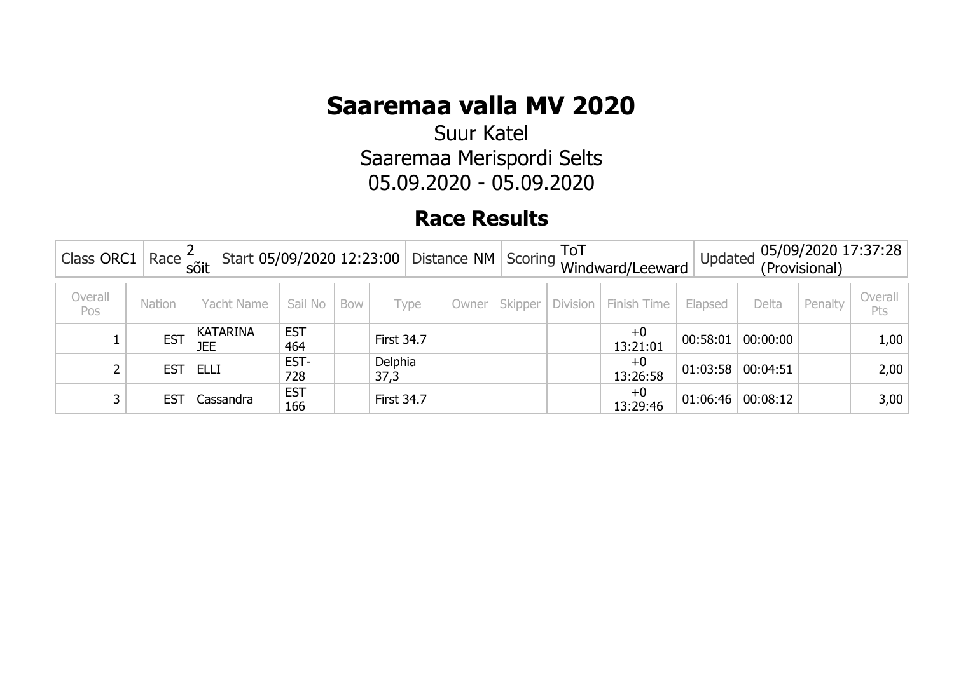Suur Katel Saaremaa Merispordi Selts 05.09.2020 - 05.09.2020

| Class ORC1   Race $\frac{2}{50}$ it |                 |                        |                   | Start 05/09/2020 12:23:00 Distance NM Scoring ToT Windward/Leeward |                   |       |         |          | 05/09/2020 17:37:28<br>Updated<br>(Provisional) |          |          |         |                |
|-------------------------------------|-----------------|------------------------|-------------------|--------------------------------------------------------------------|-------------------|-------|---------|----------|-------------------------------------------------|----------|----------|---------|----------------|
| Overall<br>Pos                      | Nation          | Yacht Name             | Sail No           | <b>Bow</b>                                                         | Type              | Owner | Skipper | Division | Finish Time                                     | Elapsed  | Delta    | Penalty | Overall<br>Pts |
|                                     | <b>EST</b>      | <b>KATARINA</b><br>JEE | <b>EST</b><br>464 |                                                                    | <b>First 34.7</b> |       |         |          | $+0$<br>13:21:01                                | 00:58:01 | 00:00:00 |         | 1,00           |
|                                     | <b>EST</b>      | <b>ELLI</b>            | EST-<br>728       |                                                                    | Delphia<br>37,3   |       |         |          | $+0$<br>13:26:58                                | 01:03:58 | 00:04:51 |         | 2,00           |
|                                     | ES <sub>7</sub> | Cassandra              | <b>EST</b><br>166 |                                                                    | <b>First 34.7</b> |       |         |          | $+0$<br>13:29:46                                | 01:06:46 | 00:08:12 |         | 3,00           |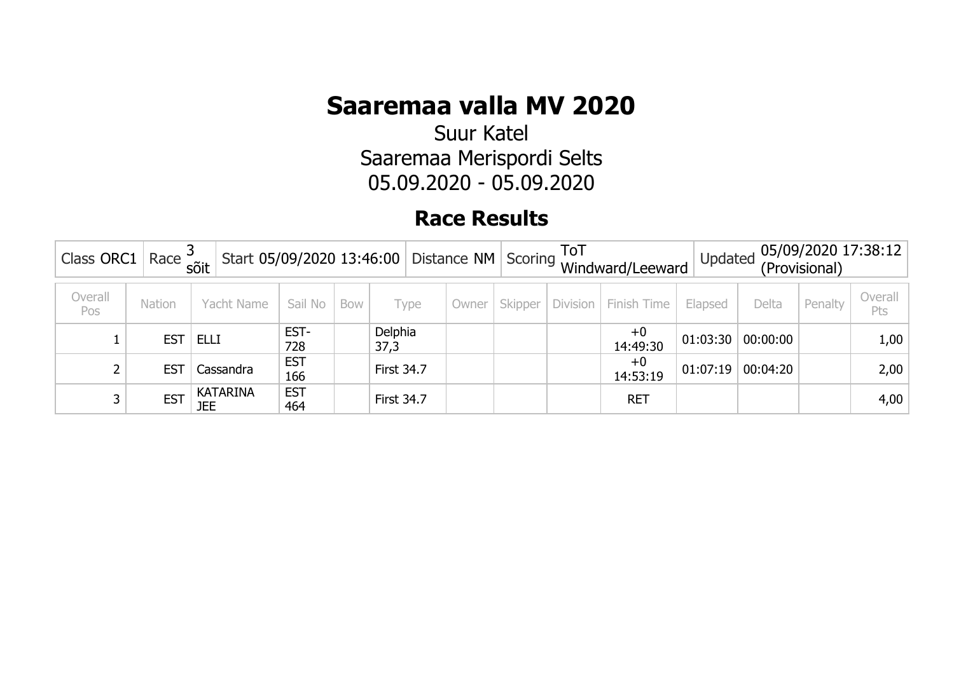Suur Katel Saaremaa Merispordi Selts 05.09.2020 - 05.09.2020

| Class ORC1   Race $\frac{3}{50}$ |            |                        |                   |            |                   |       |         |          | Start 05/09/2020 13:46:00 Distance NM Scoring ToT Windward/Leeward | Updated  |          | (Provisional) | 05/09/2020 17:38:12 |
|----------------------------------|------------|------------------------|-------------------|------------|-------------------|-------|---------|----------|--------------------------------------------------------------------|----------|----------|---------------|---------------------|
| Overall<br>Pos                   | Nation     | Yacht Name             | Sail No           | <b>Bow</b> | Type              | Owner | Skipper | Division | Finish Time                                                        | Elapsed  | Delta    | Penalty       | Overall<br>Pts      |
|                                  | <b>EST</b> | <b>ELLI</b>            | EST-<br>728       |            | Delphia<br>37,3   |       |         |          | $+0$<br>14:49:30                                                   | 01:03:30 | 00:00:00 |               | 1,00                |
|                                  | <b>EST</b> | Cassandra              | <b>EST</b><br>166 |            | <b>First 34.7</b> |       |         |          | $+0$<br>14:53:19                                                   | 01:07:19 | 00:04:20 |               | 2,00                |
|                                  | <b>EST</b> | <b>KATARINA</b><br>JEE | <b>EST</b><br>464 |            | <b>First 34.7</b> |       |         |          | <b>RET</b>                                                         |          |          |               | 4,00                |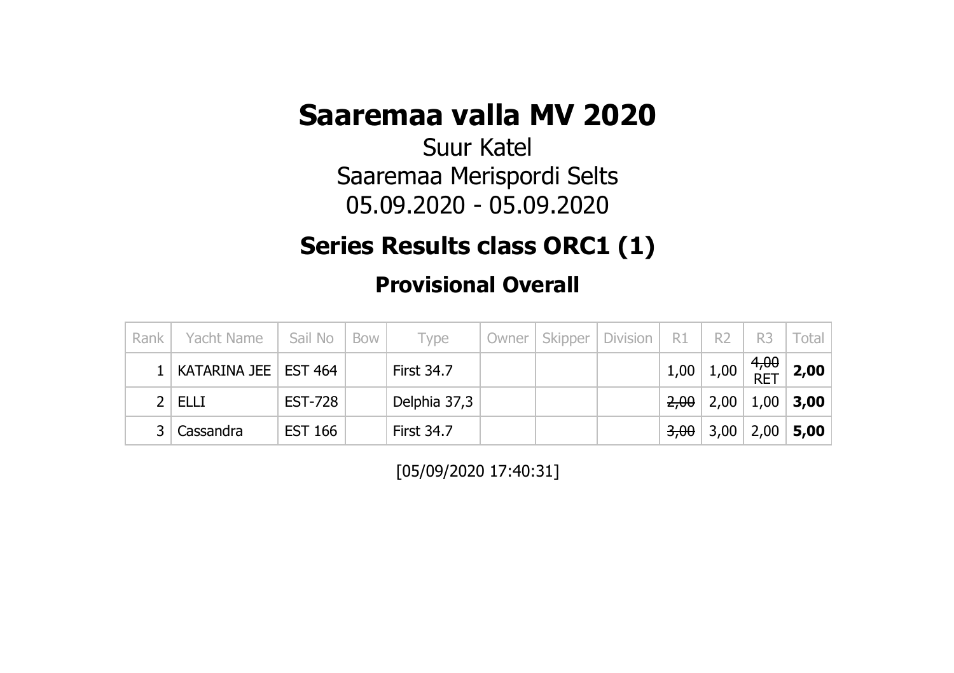Suur Katel Saaremaa Merispordi Selts 05.09.2020 - 05.09.2020

### **Series Results class ORC1 (1)**

**Provisional Overall**

| Rank | Yacht Name             | Sail No        | Bow | Type              | Owner   Skipper | Division | R1                | R <sub>2</sub> | R <sub>3</sub> | Total I                                       |
|------|------------------------|----------------|-----|-------------------|-----------------|----------|-------------------|----------------|----------------|-----------------------------------------------|
|      | KATARINA JEE   EST 464 |                |     | <b>First 34.7</b> |                 |          |                   |                |                | $1,00$ $1,00$ $8$ $\frac{4,00}{RET}$ $2,00$ . |
|      | ELLI                   | <b>EST-728</b> |     | Delphia 37,3      |                 |          |                   | $2,00$   2,00  |                | $1,00$   3,00                                 |
|      | ' Cassandra            | EST 166        |     | <b>First 34.7</b> |                 |          | <del>3,00</del> ∣ |                |                | $ 3,00 2,00 $ 5,00                            |

[05/09/2020 17:40:31]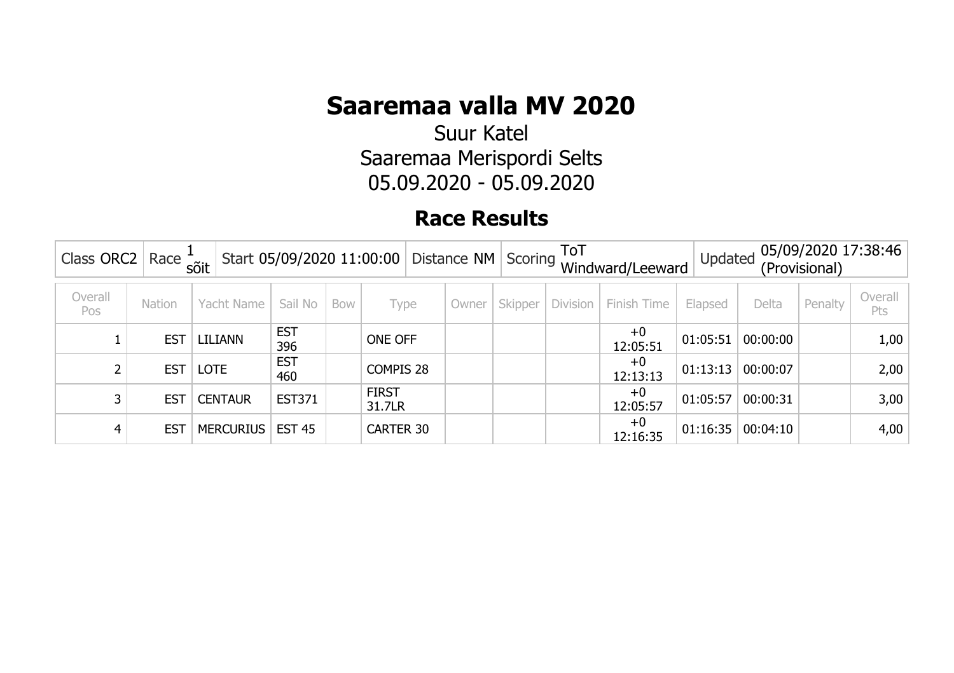Suur Katel Saaremaa Merispordi Selts 05.09.2020 - 05.09.2020

| Class ORC2     | Race +     | sõit             | Start 05/09/2020 11:00:00   Distance NM   Scoring |     |                        |       |         | ToT             | Windward/Leeward | Updated  |          | (Provisional) | 05/09/2020 17:38:46 |
|----------------|------------|------------------|---------------------------------------------------|-----|------------------------|-------|---------|-----------------|------------------|----------|----------|---------------|---------------------|
| Overall<br>Pos | Nation     | Yacht Name       | Sail No                                           | Bow | Type                   | Owner | Skipper | <b>Division</b> | Finish Time      | Elapsed  | Delta    | Penalty       | Overall<br>Pts      |
|                | <b>EST</b> | LILIANN          | <b>EST</b><br>396                                 |     | ONE OFF                |       |         |                 | $+0$<br>12:05:51 | 01:05:51 | 00:00:00 |               | 1,00                |
|                | <b>EST</b> | <b>LOTE</b>      | <b>EST</b><br>460                                 |     | COMPIS 28              |       |         |                 | $+0$<br>12:13:13 | 01:13:13 | 00:00:07 |               | 2,00                |
|                | <b>EST</b> | <b>CENTAUR</b>   | <b>EST371</b>                                     |     | <b>FIRST</b><br>31.7LR |       |         |                 | $+0$<br>12:05:57 | 01:05:57 | 00:00:31 |               | 3,00                |
|                | <b>EST</b> | <b>MERCURIUS</b> | <b>EST 45</b>                                     |     | CARTER 30              |       |         |                 | $+0$<br>12:16:35 | 01:16:35 | 00:04:10 |               | 4,00                |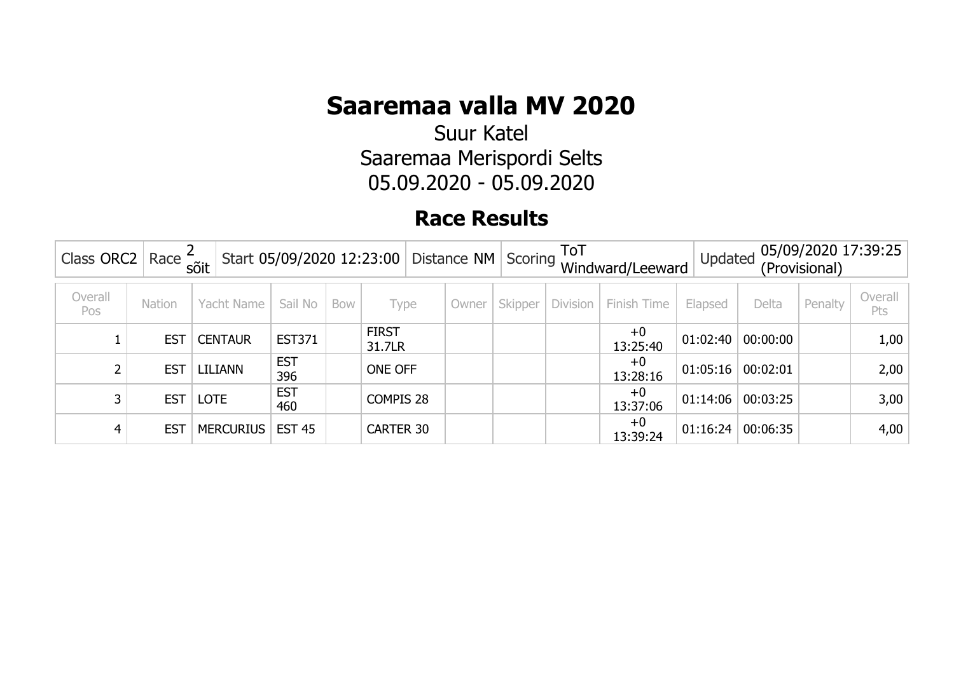Suur Katel Saaremaa Merispordi Selts 05.09.2020 - 05.09.2020

| Class ORC2     | Race       | sõit             |                   |     |                        | Start 05/09/2020 12:23:00   Distance NM   Scoring |         | <b>ToT</b>      | Windward/Leeward | Updated  |          | (Provisional) | 05/09/2020 17:39:25 |
|----------------|------------|------------------|-------------------|-----|------------------------|---------------------------------------------------|---------|-----------------|------------------|----------|----------|---------------|---------------------|
| Overall<br>Pos | Nation     | Yacht Name       | Sail No           | Bow | Type                   | Owner                                             | Skipper | <b>Division</b> | Finish Time      | Elapsed  | Delta    | Penalty       | Overall<br>Pts      |
|                | <b>EST</b> | <b>CENTAUR</b>   | <b>EST371</b>     |     | <b>FIRST</b><br>31.7LR |                                                   |         |                 | $+0$<br>13:25:40 | 01:02:40 | 00:00:00 |               | 1,00                |
|                | <b>EST</b> | LILIANN          | <b>EST</b><br>396 |     | ONE OFF                |                                                   |         |                 | $+0$<br>13:28:16 | 01:05:16 | 00:02:01 |               | 2,00                |
|                | <b>EST</b> | <b>LOTE</b>      | <b>EST</b><br>460 |     | COMPIS 28              |                                                   |         |                 | $+0$<br>13:37:06 | 01:14:06 | 00:03:25 |               | 3,00                |
| 4              | <b>EST</b> | <b>MERCURIUS</b> | <b>EST 45</b>     |     | <b>CARTER 30</b>       |                                                   |         |                 | $+0$<br>13:39:24 | 01:16:24 | 00:06:35 |               | 4,00                |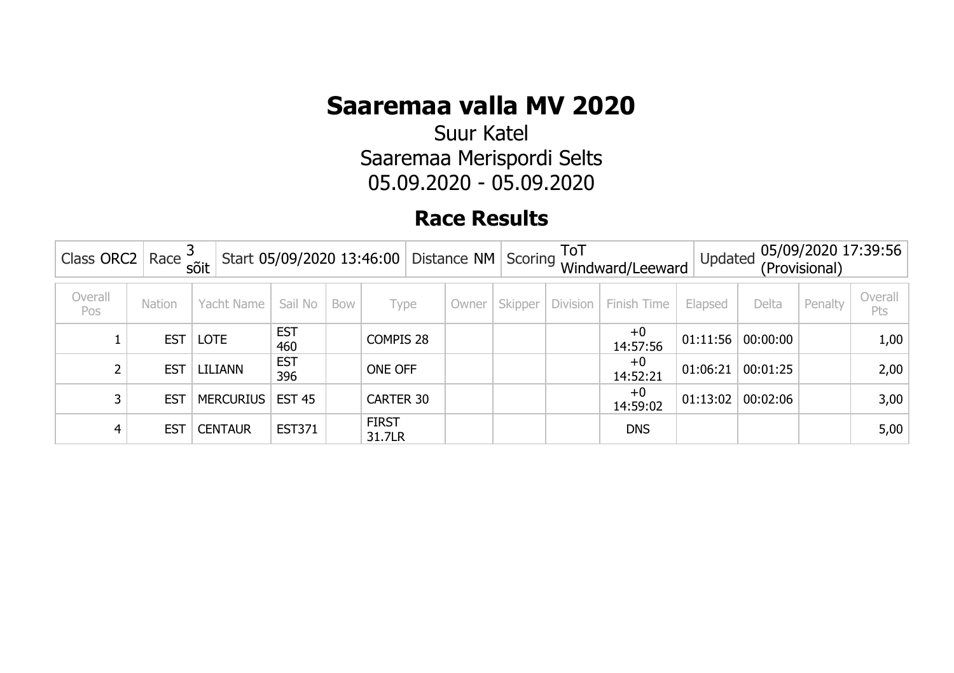Suur Katel Saaremaa Merispordi Selts 05.09.2020 - 05.09.2020

| Class ORC2     | Race <sup>3</sup> | sõit             | Start 05/09/2020 13:46:00 Distance NM Scoring $\frac{1}{100}$ |     |                        |           |       |         |                 | Windward/Leeward | Updated  |          | (Provisional) | 05/09/2020 17:39:56 |
|----------------|-------------------|------------------|---------------------------------------------------------------|-----|------------------------|-----------|-------|---------|-----------------|------------------|----------|----------|---------------|---------------------|
| Overall<br>Pos | Nation            | Yacht Name       | Sail No                                                       | Bow | Type                   |           | Owner | Skipper | <b>Division</b> | Finish Time      | Elapsed  | Delta    | Penalty       | Overall<br>Pts      |
|                | <b>EST</b>        | <b>LOTE</b>      | <b>EST</b><br>460                                             |     |                        | COMPIS 28 |       |         |                 | $+0$<br>14:57:56 | 01:11:56 | 00:00:00 |               | 1,00                |
|                | <b>EST</b>        | LILIANN          | <b>EST</b><br>396                                             |     | ONE OFF                |           |       |         |                 | $+0$<br>14:52:21 | 01:06:21 | 00:01:25 |               | 2,00                |
|                | <b>EST</b>        | <b>MERCURIUS</b> | <b>EST 45</b>                                                 |     | <b>CARTER 30</b>       |           |       |         |                 | $+0$<br>14:59:02 | 01:13:02 | 00:02:06 |               | 3,00                |
|                | <b>EST</b>        | <b>CENTAUR</b>   | <b>EST371</b>                                                 |     | <b>FIRST</b><br>31.7LR |           |       |         |                 | <b>DNS</b>       |          |          |               | 5,00                |